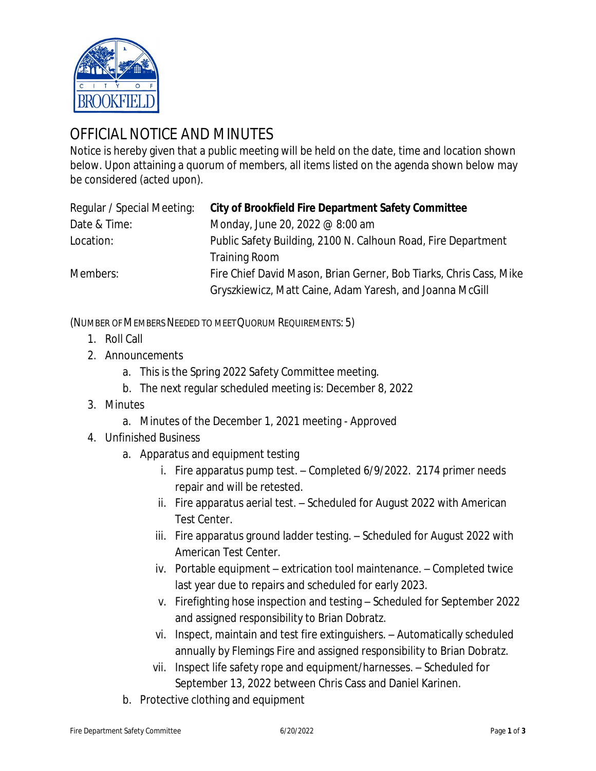

## OFFICIAL NOTICE AND MINUTES

Notice is hereby given that a public meeting will be held on the date, time and location shown below. Upon attaining a quorum of members, all items listed on the agenda shown below may be considered (acted upon).

| Regular / Special Meeting: | <b>City of Brookfield Fire Department Safety Committee</b>         |
|----------------------------|--------------------------------------------------------------------|
| Date & Time:               | Monday, June 20, 2022 @ 8:00 am                                    |
| Location:                  | Public Safety Building, 2100 N. Calhoun Road, Fire Department      |
|                            | <b>Training Room</b>                                               |
| Members:                   | Fire Chief David Mason, Brian Gerner, Bob Tiarks, Chris Cass, Mike |
|                            | Gryszkiewicz, Matt Caine, Adam Yaresh, and Joanna McGill           |

(NUMBER OF MEMBERS NEEDED TO MEET QUORUM REQUIREMENTS: 5)

- 1. Roll Call
- 2. Announcements
	- a. This is the Spring 2022 Safety Committee meeting.
	- b. The next regular scheduled meeting is: December 8, 2022
- 3. Minutes
	- a. Minutes of the December 1, 2021 meeting Approved
- 4. Unfinished Business
	- a. Apparatus and equipment testing
		- i. Fire apparatus pump test. Completed 6/9/2022. 2174 primer needs repair and will be retested.
		- ii. Fire apparatus aerial test. Scheduled for August 2022 with American Test Center.
		- iii. Fire apparatus ground ladder testing. Scheduled for August 2022 with American Test Center.
		- iv. Portable equipment extrication tool maintenance. Completed twice last year due to repairs and scheduled for early 2023.
		- v. Firefighting hose inspection and testing Scheduled for September 2022 and assigned responsibility to Brian Dobratz.
		- vi. Inspect, maintain and test fire extinguishers. Automatically scheduled annually by Flemings Fire and assigned responsibility to Brian Dobratz.
		- vii. Inspect life safety rope and equipment/harnesses. Scheduled for September 13, 2022 between Chris Cass and Daniel Karinen.
	- b. Protective clothing and equipment